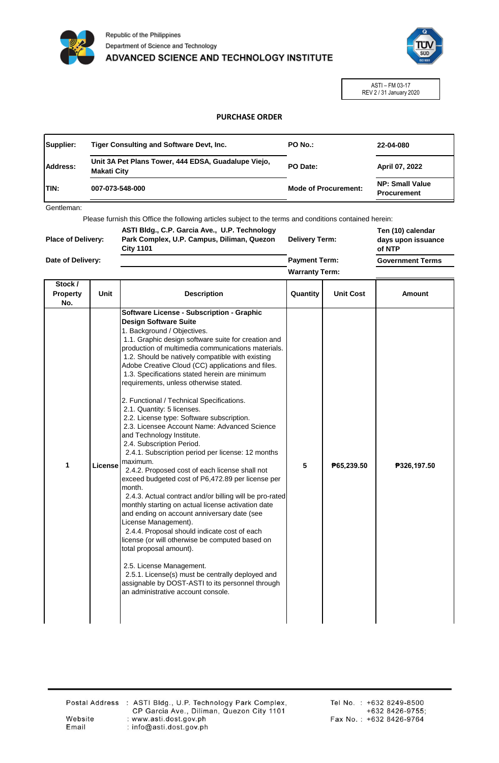



ASTI – FM 03-17 REV 2 / 31 January 2020

## **PURCHASE ORDER**

| Supplier:   | Tiger Consulting and Software Devt, Inc.                                  | <b>PO No.:</b>              | 22-04-080                                    |
|-------------|---------------------------------------------------------------------------|-----------------------------|----------------------------------------------|
| Address:    | Unit 3A Pet Plans Tower, 444 EDSA, Guadalupe Viejo,<br><b>Makati City</b> | PO Date:                    | April 07, 2022                               |
| <b>TIN:</b> | 007-073-548-000                                                           | <b>Mode of Procurement:</b> | <b>NP: Small Value</b><br><b>Procurement</b> |

Gentleman:

Please furnish this Office the following articles subject to the terms and conditions contained herein:

| <b>Place of Delivery:</b> | ASTI Bldg., C.P. Garcia Ave., U.P. Technology<br>Park Complex, U.P. Campus, Diliman, Quezon<br><b>City 1101</b> | <b>Delivery Term:</b> | Ten (10) calendar<br>days upon issuance<br>of NTP |
|---------------------------|-----------------------------------------------------------------------------------------------------------------|-----------------------|---------------------------------------------------|
| Date of Delivery:         |                                                                                                                 | <b>Payment Term:</b>  | <b>Government Terms</b>                           |
|                           |                                                                                                                 | <b>Warranty Term:</b> |                                                   |

| Stock /<br><b>Property</b><br>No. | <b>Unit</b> | <b>Description</b>                                                                                                                                                                                                                                                                                                                                                                                                                                                                                                                                                                                                                                                                                                                                                                                                                                                                                                                                                                                                                                                                                                                                                                                                                                                                                                                            | Quantity | <b>Unit Cost</b> | <b>Amount</b> |
|-----------------------------------|-------------|-----------------------------------------------------------------------------------------------------------------------------------------------------------------------------------------------------------------------------------------------------------------------------------------------------------------------------------------------------------------------------------------------------------------------------------------------------------------------------------------------------------------------------------------------------------------------------------------------------------------------------------------------------------------------------------------------------------------------------------------------------------------------------------------------------------------------------------------------------------------------------------------------------------------------------------------------------------------------------------------------------------------------------------------------------------------------------------------------------------------------------------------------------------------------------------------------------------------------------------------------------------------------------------------------------------------------------------------------|----------|------------------|---------------|
| 1                                 | License     | Software License - Subscription - Graphic<br><b>Design Software Suite</b><br>1. Background / Objectives.<br>1.1. Graphic design software suite for creation and<br>production of multimedia communications materials.<br>1.2. Should be natively compatible with existing<br>Adobe Creative Cloud (CC) applications and files.<br>1.3. Specifications stated herein are minimum<br>requirements, unless otherwise stated.<br>2. Functional / Technical Specifications.<br>2.1. Quantity: 5 licenses.<br>2.2. License type: Software subscription.<br>2.3. Licensee Account Name: Advanced Science<br>and Technology Institute.<br>2.4. Subscription Period.<br>2.4.1. Subscription period per license: 12 months<br>maximum.<br>2.4.2. Proposed cost of each license shall not<br>exceed budgeted cost of P6,472.89 per license per<br>month.<br>2.4.3. Actual contract and/or billing will be pro-rated<br>monthly starting on actual license activation date<br>and ending on account anniversary date (see<br>License Management).<br>2.4.4. Proposal should indicate cost of each<br>license (or will otherwise be computed based on<br>total proposal amount).<br>2.5. License Management.<br>2.5.1. License(s) must be centrally deployed and<br>assignable by DOST-ASTI to its personnel through<br>an administrative account console. | 5        | P65,239.50       | ₱326,197.50   |

Website Email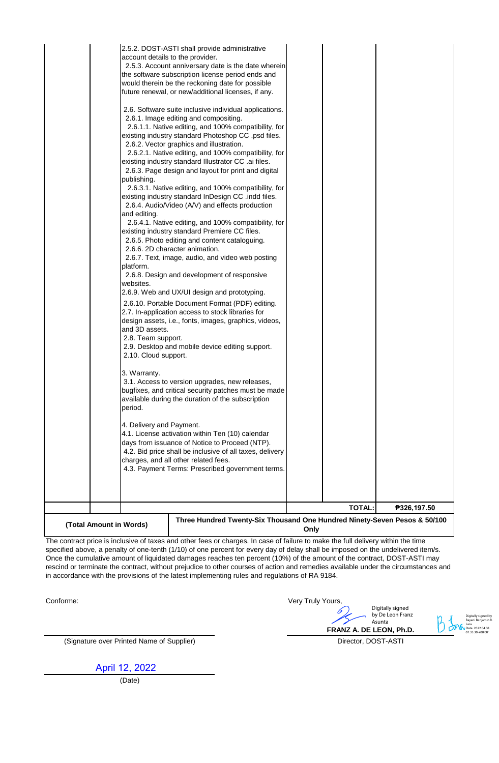|                                      |                                                                                                                                                                                                                                                                                                                                                                                 | <b>TOTAL:</b> | ₱326,197.50 |
|--------------------------------------|---------------------------------------------------------------------------------------------------------------------------------------------------------------------------------------------------------------------------------------------------------------------------------------------------------------------------------------------------------------------------------|---------------|-------------|
| period.<br>4. Delivery and Payment.  | 4.1. License activation within Ten (10) calendar<br>days from issuance of Notice to Proceed (NTP).<br>4.2. Bid price shall be inclusive of all taxes, delivery<br>charges, and all other related fees.<br>4.3. Payment Terms: Prescribed government terms.                                                                                                                      |               |             |
| 2.10. Cloud support.<br>3. Warranty. | 3.1. Access to version upgrades, new releases,<br>bugfixes, and critical security patches must be made<br>available during the duration of the subscription                                                                                                                                                                                                                     |               |             |
| and 3D assets.<br>2.8. Team support. | 2.6.10. Portable Document Format (PDF) editing.<br>2.7. In-application access to stock libraries for<br>design assets, i.e., fonts, images, graphics, videos,<br>2.9. Desktop and mobile device editing support.                                                                                                                                                                |               |             |
| platform.<br>websites.               | 2.6.6. 2D character animation.<br>2.6.7. Text, image, audio, and video web posting<br>2.6.8. Design and development of responsive<br>2.6.9. Web and UX/UI design and prototyping.                                                                                                                                                                                               |               |             |
| publishing.<br>and editing.          | 2.6.3. Page design and layout for print and digital<br>2.6.3.1. Native editing, and 100% compatibility, for<br>existing industry standard InDesign CC .indd files.<br>2.6.4. Audio/Video (A/V) and effects production<br>2.6.4.1. Native editing, and 100% compatibility, for<br>existing industry standard Premiere CC files.<br>2.6.5. Photo editing and content cataloguing. |               |             |
|                                      | 2.6. Software suite inclusive individual applications.<br>2.6.1. Image editing and compositing.<br>2.6.1.1. Native editing, and 100% compatibility, for<br>existing industry standard Photoshop CC .psd files.<br>2.6.2. Vector graphics and illustration.<br>2.6.2.1. Native editing, and 100% compatibility, for<br>existing industry standard Illustrator CC .ai files.      |               |             |
|                                      | 2.5.2. DOST-ASTI shall provide administrative<br>account details to the provider.<br>2.5.3. Account anniversary date is the date wherein<br>the software subscription license period ends and<br>would therein be the reckoning date for possible<br>future renewal, or new/additional licenses, if any.                                                                        |               |             |

The contract price is inclusive of taxes and other fees or charges. In case of failure to make the full delivery within the time specified above, a penalty of one-tenth (1/10) of one percent for every day of delay shall be imposed on the undelivered item/s. Once the cumulative amount of liquidated damages reaches ten percent (10%) of the amount of the contract, DOST-ASTI may rescind or terminate the contract, without prejudice to other courses of action and remedies available under the circumstances and in accordance with the provisions of the latest implementing rules and regulations of RA 9184.

Conforme:

Very Truly Yours,

**FRANZ A. DE LEON, Ph.D.** Digitally signed by De Leon Franz Asunta

Digitally signed by Bayani Benjamin R. Lara Date: 2022.04.08 07:35:30 +08'00'

Director, DOST-ASTI

(Signature over Printed Name of Supplier)

April 12, 2022

(Date)